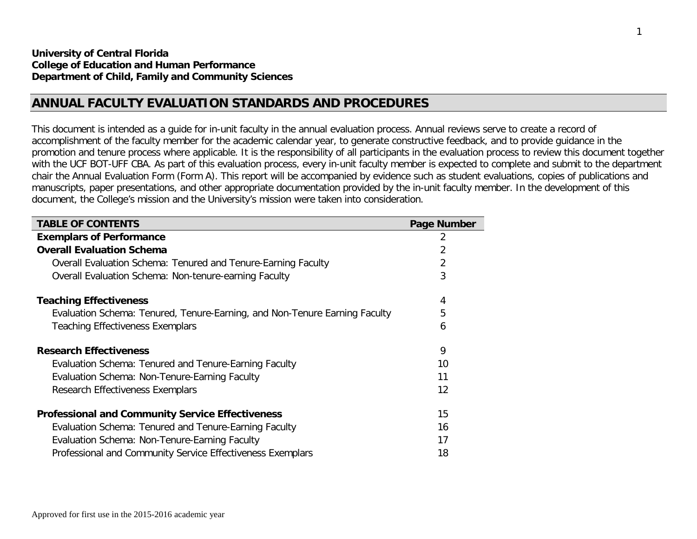## **ANNUAL FACULTY EVALUATION STANDARDS AND PROCEDURES**

This document is intended as a guide for in-unit faculty in the annual evaluation process. Annual reviews serve to create a record of accomplishment of the faculty member for the academic calendar year, to generate constructive feedback, and to provide guidance in the promotion and tenure process where applicable. It is the responsibility of all participants in the evaluation process to review this document together with the UCF BOT-UFF CBA. As part of this evaluation process, every in-unit faculty member is expected to complete and submit to the department chair the Annual Evaluation Form (Form A). This report will be accompanied by evidence such as student evaluations, copies of publications and manuscripts, paper presentations, and other appropriate documentation provided by the in-unit faculty member. In the development of this document, the College's mission and the University's mission were taken into consideration.

| <b>TABLE OF CONTENTS</b>                                                   | Page Number |
|----------------------------------------------------------------------------|-------------|
| <b>Exemplars of Performance</b>                                            | 2           |
| <b>Overall Evaluation Schema</b>                                           | 2           |
| Overall Evaluation Schema: Tenured and Tenure-Earning Faculty              | 2           |
| <b>Overall Evaluation Schema: Non-tenure-earning Faculty</b>               | 3           |
| <b>Teaching Effectiveness</b>                                              | 4           |
| Evaluation Schema: Tenured, Tenure-Earning, and Non-Tenure Earning Faculty | 5           |
| <b>Teaching Effectiveness Exemplars</b>                                    | 6           |
| <b>Research Effectiveness</b>                                              | 9           |
| Evaluation Schema: Tenured and Tenure-Earning Faculty                      | 10          |
| Evaluation Schema: Non-Tenure-Earning Faculty                              | 11          |
| Research Effectiveness Exemplars                                           | 12          |
| <b>Professional and Community Service Effectiveness</b>                    | 15          |
| Evaluation Schema: Tenured and Tenure-Earning Faculty                      | 16          |
| Evaluation Schema: Non-Tenure-Earning Faculty                              | 17          |
| Professional and Community Service Effectiveness Exemplars                 | 18          |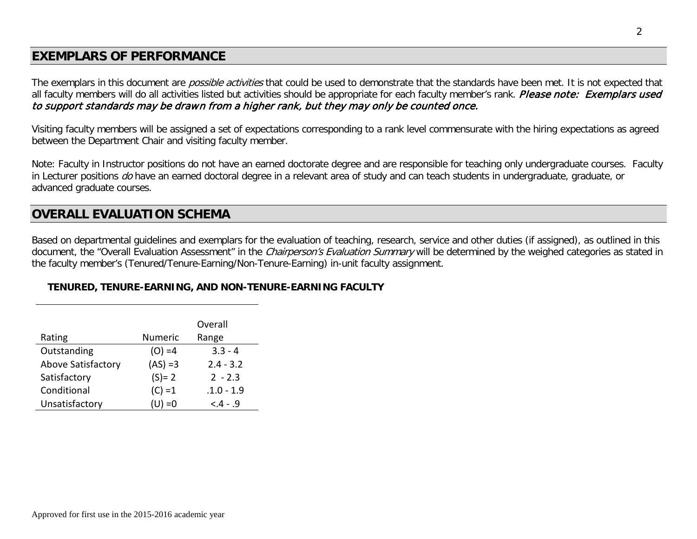# **EXEMPLARS OF PERFORMANCE**

The exemplars in this document are *possible activities* that could be used to demonstrate that the standards have been met. It is not expected that all faculty members will do all activities listed but activities should be appropriate for each faculty member's rank. Please note: Exemplars used to support standards may be drawn from a higher rank, but they may only be counted once.

Visiting faculty members will be assigned a set of expectations corresponding to a rank level commensurate with the hiring expectations as agreed between the Department Chair and visiting faculty member.

Note: Faculty in Instructor positions do not have an earned doctorate degree and are responsible for teaching only undergraduate courses. Faculty in Lecturer positions do have an earned doctoral degree in a relevant area of study and can teach students in undergraduate, graduate, or advanced graduate courses.

## **OVERALL EVALUATION SCHEMA**

Based on departmental guidelines and exemplars for the evaluation of teaching, research, service and other duties (if assigned), as outlined in this document, the "Overall Evaluation Assessment" in the *Chairperson's Evaluation Summary* will be determined by the weighed categories as stated in the faculty member's (Tenured/Tenure-Earning/Non-Tenure-Earning) in-unit faculty assignment.

## **TENURED, TENURE-EARNING, AND NON-TENURE-EARNING FACULTY**

|                    |                | Overall      |
|--------------------|----------------|--------------|
| Rating             | <b>Numeric</b> | Range        |
| Outstanding        | $(O) = 4$      | $3.3 - 4$    |
| Above Satisfactory | $(AS) = 3$     | $2.4 - 3.2$  |
| Satisfactory       | $(S) = 2$      | $2 - 2.3$    |
| Conditional        | $(C) = 1$      | $.1.0 - 1.9$ |
| Unsatisfactory     | (U) =0         | $-.4-.9$     |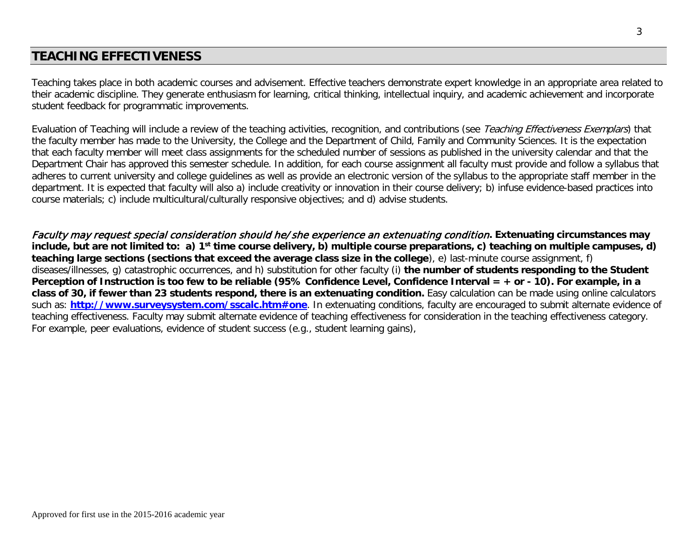# **TEACHING EFFECTIVENESS**

Teaching takes place in both academic courses and advisement. Effective teachers demonstrate expert knowledge in an appropriate area related to their academic discipline. They generate enthusiasm for learning, critical thinking, intellectual inquiry, and academic achievement and incorporate student feedback for programmatic improvements.

Evaluation of Teaching will include a review of the teaching activities, recognition, and contributions (see Teaching Effectiveness Exemplars) that the faculty member has made to the University, the College and the Department of Child, Family and Community Sciences. It is the expectation that each faculty member will meet class assignments for the scheduled number of sessions as published in the university calendar and that the Department Chair has approved this semester schedule. In addition, for each course assignment all faculty must provide and follow a syllabus that adheres to current university and college guidelines as well as provide an electronic version of the syllabus to the appropriate staff member in the department. It is expected that faculty will also a) include creativity or innovation in their course delivery; b) infuse evidence-based practices into course materials; c) include multicultural/culturally responsive objectives; and d) advise students.

Faculty may request special consideration should he/she experience an extenuating condition**. Extenuating circumstances may include, but are not limited to: a) 1st time course delivery, b) multiple course preparations, c) teaching on multiple campuses, d) teaching large sections (sections that exceed the average class size in the college**), e) last-minute course assignment, f) diseases/illnesses, g) catastrophic occurrences, and h) substitution for other faculty (i) **the number of students responding to the Student Perception of Instruction is too few to be reliable (95% Confidence Level, Confidence Interval = + or - 10). For example, in a class of 30, if fewer than 23 students respond, there is an extenuating condition.** Easy calculation can be made using online calculators such as: **<http://www.surveysystem.com/sscalc.htm#one>**. In extenuating conditions, faculty are encouraged to submit alternate evidence of teaching effectiveness. Faculty may submit alternate evidence of teaching effectiveness for consideration in the teaching effectiveness category. For example, peer evaluations, evidence of student success (e.g., student learning gains),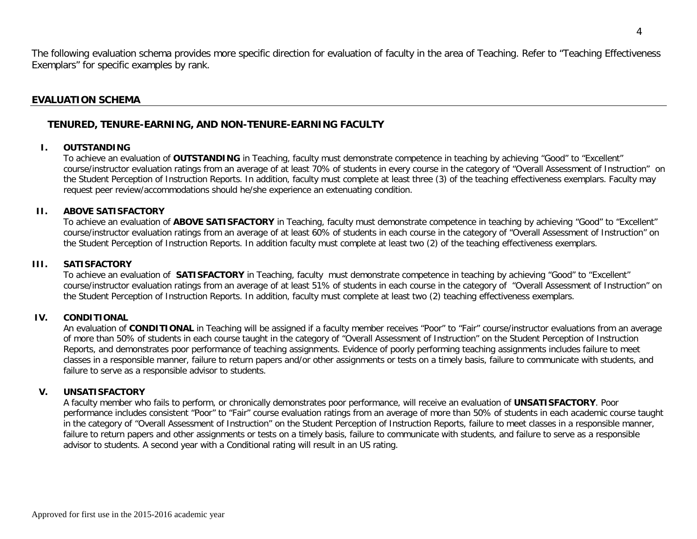The following evaluation schema provides more specific direction for evaluation of faculty in the area of Teaching. Refer to "Teaching Effectiveness Exemplars" for specific examples by rank.

### **EVALUATION SCHEMA**

### **TENURED, TENURE-EARNING, AND NON-TENURE-EARNING FACULTY**

#### **I. OUTSTANDING**

To achieve an evaluation of **OUTSTANDING** in Teaching, faculty must demonstrate competence in teaching by achieving "Good" to "Excellent" course/instructor evaluation ratings from an average of at least 70% of students in every course in the category of "Overall Assessment of Instruction" on the Student Perception of Instruction Reports. In addition, faculty must complete at least three (3) of the teaching effectiveness exemplars. Faculty may request peer review/accommodations should he/she experience an extenuating condition.

#### **II. ABOVE SATISFACTORY**

To achieve an evaluation of **ABOVE SATISFACTORY** in Teaching, faculty must demonstrate competence in teaching by achieving "Good" to "Excellent" course/instructor evaluation ratings from an average of at least 60% of students in each course in the category of "Overall Assessment of Instruction" on the Student Perception of Instruction Reports. In addition faculty must complete at least two (2) of the teaching effectiveness exemplars.

#### **III. SATISFACTORY**

To achieve an evaluation of **SATISFACTORY** in Teaching, faculty must demonstrate competence in teaching by achieving "Good" to "Excellent" course/instructor evaluation ratings from an average of at least 51% of students in each course in the category of "Overall Assessment of Instruction" on the Student Perception of Instruction Reports. In addition, faculty must complete at least two (2) teaching effectiveness exemplars.

#### **IV. CONDITIONAL**

An evaluation of **CONDITIONAL** in Teaching will be assigned if a faculty member receives "Poor" to "Fair" course/instructor evaluations from an average of more than 50% of students in each course taught in the category of "Overall Assessment of Instruction" on the Student Perception of Instruction Reports, and demonstrates poor performance of teaching assignments. Evidence of poorly performing teaching assignments includes failure to meet classes in a responsible manner, failure to return papers and/or other assignments or tests on a timely basis, failure to communicate with students, and failure to serve as a responsible advisor to students.

#### **V. UNSATISFACTORY**

A faculty member who fails to perform, or chronically demonstrates poor performance, will receive an evaluation of **UNSATISFACTORY**. Poor performance includes consistent "Poor" to "Fair" course evaluation ratings from an average of more than 50% of students in each academic course taught in the category of "Overall Assessment of Instruction" on the Student Perception of Instruction Reports, failure to meet classes in a responsible manner, failure to return papers and other assignments or tests on a timely basis, failure to communicate with students, and failure to serve as a responsible advisor to students. A second year with a Conditional rating will result in an US rating.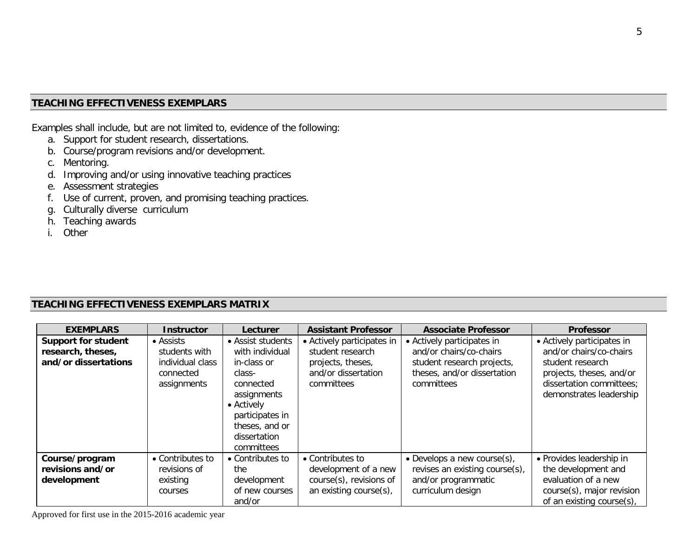## **TEACHING EFFECTIVENESS EXEMPLARS**

Examples shall include, but are not limited to, evidence of the following:

- a. Support for student research, dissertations.
- b. Course/program revisions and/or development.
- c. Mentoring.
- d. Improving and/or using innovative teaching practices
- e. Assessment strategies
- f. Use of current, proven, and promising teaching practices.
- g. Culturally diverse curriculum
- h. Teaching awards
- i. Other

## **TEACHING EFFECTIVENESS EXEMPLARS MATRIX**

| <b>EXEMPLARS</b>                                                        | <b>Instructor</b>                                                                  | Lecturer                                                                                                                                                                   | <b>Assistant Professor</b>                                                                               | <b>Associate Professor</b>                                                                                                       | <b>Professor</b>                                                                                                                                             |
|-------------------------------------------------------------------------|------------------------------------------------------------------------------------|----------------------------------------------------------------------------------------------------------------------------------------------------------------------------|----------------------------------------------------------------------------------------------------------|----------------------------------------------------------------------------------------------------------------------------------|--------------------------------------------------------------------------------------------------------------------------------------------------------------|
| <b>Support for student</b><br>research, theses,<br>and/or dissertations | $\bullet$ Assists<br>students with<br>individual class<br>connected<br>assignments | • Assist students<br>with individual<br>in-class or<br>class-<br>connected<br>assignments<br>• Actively<br>participates in<br>theses, and or<br>dissertation<br>committees | • Actively participates in<br>student research<br>projects, theses,<br>and/or dissertation<br>committees | • Actively participates in<br>and/or chairs/co-chairs<br>student research projects,<br>theses, and/or dissertation<br>committees | • Actively participates in<br>and/or chairs/co-chairs<br>student research<br>projects, theses, and/or<br>dissertation committees;<br>demonstrates leadership |
| Course/program<br>revisions and/or<br>development                       | • Contributes to<br>revisions of<br>existing<br>courses                            | • Contributes to<br>the<br>development<br>of new courses<br>and/or                                                                                                         | • Contributes to<br>development of a new<br>course(s), revisions of<br>an existing course(s),            | • Develops a new course $(s)$ ,<br>revises an existing course(s),<br>and/or programmatic<br>curriculum design                    | • Provides leadership in<br>the development and<br>evaluation of a new<br>course(s), major revision<br>of an existing course(s),                             |

Approved for first use in the 2015-2016 academic year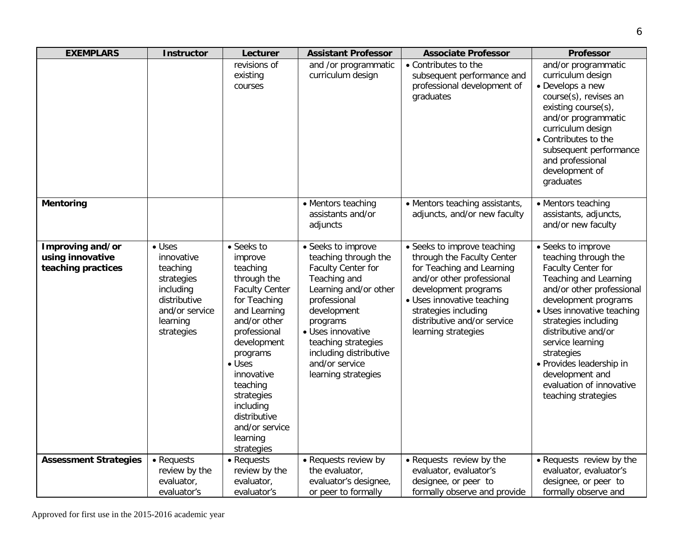| <b>EXEMPLARS</b>                                           | <b>Instructor</b>                                                                                                               | Lecturer                                                                                                                                                                                                                                                                                                | <b>Assistant Professor</b>                                                                                                                                                                                                                                          | <b>Associate Professor</b>                                                                                                                                                                                                                              | <b>Professor</b>                                                                                                                                                                                                                                                                                                                                                |
|------------------------------------------------------------|---------------------------------------------------------------------------------------------------------------------------------|---------------------------------------------------------------------------------------------------------------------------------------------------------------------------------------------------------------------------------------------------------------------------------------------------------|---------------------------------------------------------------------------------------------------------------------------------------------------------------------------------------------------------------------------------------------------------------------|---------------------------------------------------------------------------------------------------------------------------------------------------------------------------------------------------------------------------------------------------------|-----------------------------------------------------------------------------------------------------------------------------------------------------------------------------------------------------------------------------------------------------------------------------------------------------------------------------------------------------------------|
|                                                            |                                                                                                                                 | revisions of<br>existing<br>courses                                                                                                                                                                                                                                                                     | and /or programmatic<br>curriculum design                                                                                                                                                                                                                           | • Contributes to the<br>subsequent performance and<br>professional development of<br>graduates                                                                                                                                                          | and/or programmatic<br>curriculum design<br>• Develops a new<br>course(s), revises an<br>existing course(s),<br>and/or programmatic<br>curriculum design<br>• Contributes to the<br>subsequent performance<br>and professional<br>development of<br>graduates                                                                                                   |
| <b>Mentoring</b>                                           |                                                                                                                                 |                                                                                                                                                                                                                                                                                                         | • Mentors teaching<br>assistants and/or<br>adjuncts                                                                                                                                                                                                                 | • Mentors teaching assistants,<br>adjuncts, and/or new faculty                                                                                                                                                                                          | • Mentors teaching<br>assistants, adjuncts,<br>and/or new faculty                                                                                                                                                                                                                                                                                               |
| Improving and/or<br>using innovative<br>teaching practices | $\bullet$ Uses<br>innovative<br>teaching<br>strategies<br>including<br>distributive<br>and/or service<br>learning<br>strategies | • Seeks to<br>improve<br>teaching<br>through the<br><b>Faculty Center</b><br>for Teaching<br>and Learning<br>and/or other<br>professional<br>development<br>programs<br>$\bullet$ Uses<br>innovative<br>teaching<br>strategies<br>including<br>distributive<br>and/or service<br>learning<br>strategies | • Seeks to improve<br>teaching through the<br>Faculty Center for<br>Teaching and<br>Learning and/or other<br>professional<br>development<br>programs<br>· Uses innovative<br>teaching strategies<br>including distributive<br>and/or service<br>learning strategies | · Seeks to improve teaching<br>through the Faculty Center<br>for Teaching and Learning<br>and/or other professional<br>development programs<br>· Uses innovative teaching<br>strategies including<br>distributive and/or service<br>learning strategies | • Seeks to improve<br>teaching through the<br>Faculty Center for<br>Teaching and Learning<br>and/or other professional<br>development programs<br>• Uses innovative teaching<br>strategies including<br>distributive and/or<br>service learning<br>strategies<br>· Provides leadership in<br>development and<br>evaluation of innovative<br>teaching strategies |
| <b>Assessment Strategies</b>                               | • Requests                                                                                                                      | • Requests                                                                                                                                                                                                                                                                                              | • Requests review by                                                                                                                                                                                                                                                | • Requests review by the                                                                                                                                                                                                                                | • Requests review by the                                                                                                                                                                                                                                                                                                                                        |
|                                                            | review by the<br>evaluator,                                                                                                     | review by the<br>evaluator,                                                                                                                                                                                                                                                                             | the evaluator,<br>evaluator's designee,                                                                                                                                                                                                                             | evaluator, evaluator's<br>designee, or peer to                                                                                                                                                                                                          | evaluator, evaluator's<br>designee, or peer to                                                                                                                                                                                                                                                                                                                  |
|                                                            | evaluator's                                                                                                                     | evaluator's                                                                                                                                                                                                                                                                                             | or peer to formally                                                                                                                                                                                                                                                 | formally observe and provide                                                                                                                                                                                                                            | formally observe and                                                                                                                                                                                                                                                                                                                                            |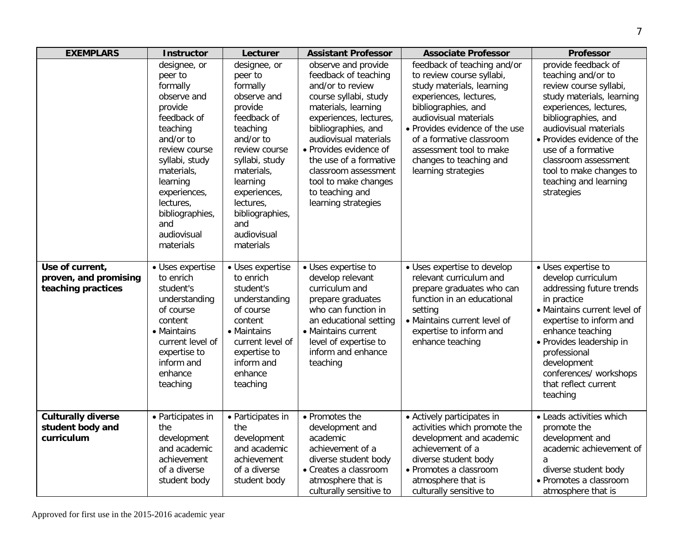| <b>EXEMPLARS</b>                                               | <b>Instructor</b>                                                                                                                                                                                                                                     | Lecturer                                                                                                                                                                                                                                              | <b>Assistant Professor</b>                                                                                                                                                                                                                                                                                                              | <b>Associate Professor</b>                                                                                                                                                                                                                                                                                 | <b>Professor</b>                                                                                                                                                                                                                                                                                                         |
|----------------------------------------------------------------|-------------------------------------------------------------------------------------------------------------------------------------------------------------------------------------------------------------------------------------------------------|-------------------------------------------------------------------------------------------------------------------------------------------------------------------------------------------------------------------------------------------------------|-----------------------------------------------------------------------------------------------------------------------------------------------------------------------------------------------------------------------------------------------------------------------------------------------------------------------------------------|------------------------------------------------------------------------------------------------------------------------------------------------------------------------------------------------------------------------------------------------------------------------------------------------------------|--------------------------------------------------------------------------------------------------------------------------------------------------------------------------------------------------------------------------------------------------------------------------------------------------------------------------|
|                                                                | designee, or<br>peer to<br>formally<br>observe and<br>provide<br>feedback of<br>teaching<br>and/or to<br>review course<br>syllabi, study<br>materials,<br>learning<br>experiences,<br>lectures,<br>bibliographies,<br>and<br>audiovisual<br>materials | designee, or<br>peer to<br>formally<br>observe and<br>provide<br>feedback of<br>teaching<br>and/or to<br>review course<br>syllabi, study<br>materials,<br>learning<br>experiences,<br>lectures,<br>bibliographies,<br>and<br>audiovisual<br>materials | observe and provide<br>feedback of teaching<br>and/or to review<br>course syllabi, study<br>materials, learning<br>experiences, lectures,<br>bibliographies, and<br>audiovisual materials<br>• Provides evidence of<br>the use of a formative<br>classroom assessment<br>tool to make changes<br>to teaching and<br>learning strategies | feedback of teaching and/or<br>to review course syllabi,<br>study materials, learning<br>experiences, lectures,<br>bibliographies, and<br>audiovisual materials<br>• Provides evidence of the use<br>of a formative classroom<br>assessment tool to make<br>changes to teaching and<br>learning strategies | provide feedback of<br>teaching and/or to<br>review course syllabi,<br>study materials, learning<br>experiences, lectures,<br>bibliographies, and<br>audiovisual materials<br>• Provides evidence of the<br>use of a formative<br>classroom assessment<br>tool to make changes to<br>teaching and learning<br>strategies |
| Use of current,<br>proven, and promising<br>teaching practices | • Uses expertise<br>to enrich<br>student's<br>understanding<br>of course<br>content<br>• Maintains<br>current level of<br>expertise to<br>inform and<br>enhance<br>teaching                                                                           | • Uses expertise<br>to enrich<br>student's<br>understanding<br>of course<br>content<br>• Maintains<br>current level of<br>expertise to<br>inform and<br>enhance<br>teaching                                                                           | • Uses expertise to<br>develop relevant<br>curriculum and<br>prepare graduates<br>who can function in<br>an educational setting<br>• Maintains current<br>level of expertise to<br>inform and enhance<br>teaching                                                                                                                       | • Uses expertise to develop<br>relevant curriculum and<br>prepare graduates who can<br>function in an educational<br>setting<br>• Maintains current level of<br>expertise to inform and<br>enhance teaching                                                                                                | • Uses expertise to<br>develop curriculum<br>addressing future trends<br>in practice<br>• Maintains current level of<br>expertise to inform and<br>enhance teaching<br>• Provides leadership in<br>professional<br>development<br>conferences/ workshops<br>that reflect current<br>teaching                             |
| <b>Culturally diverse</b><br>student body and<br>curriculum    | • Participates in<br>the<br>development<br>and academic<br>achievement<br>of a diverse<br>student body                                                                                                                                                | • Participates in<br>the<br>development<br>and academic<br>achievement<br>of a diverse<br>student body                                                                                                                                                | • Promotes the<br>development and<br>academic<br>achievement of a<br>diverse student body<br>• Creates a classroom<br>atmosphere that is<br>culturally sensitive to                                                                                                                                                                     | • Actively participates in<br>activities which promote the<br>development and academic<br>achievement of a<br>diverse student body<br>· Promotes a classroom<br>atmosphere that is<br>culturally sensitive to                                                                                              | • Leads activities which<br>promote the<br>development and<br>academic achievement of<br>a<br>diverse student body<br>• Promotes a classroom<br>atmosphere that is                                                                                                                                                       |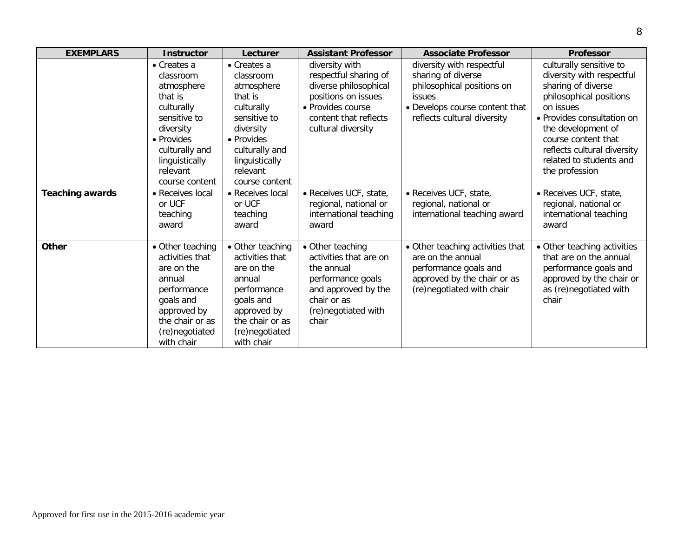| <b>EXEMPLARS</b>       | <b>Instructor</b>   | Lecturer         | <b>Assistant Professor</b> | <b>Associate Professor</b>       | <b>Professor</b>            |
|------------------------|---------------------|------------------|----------------------------|----------------------------------|-----------------------------|
|                        | $\bullet$ Creates a | • Creates a      | diversity with             | diversity with respectful        | culturally sensitive to     |
|                        | classroom           | classroom        | respectful sharing of      | sharing of diverse               | diversity with respectful   |
|                        | atmosphere          | atmosphere       | diverse philosophical      | philosophical positions on       | sharing of diverse          |
|                        | that is             | that is          | positions on issues        | issues                           | philosophical positions     |
|                        | culturally          | culturally       | · Provides course          | • Develops course content that   | on issues                   |
|                        | sensitive to        | sensitive to     | content that reflects      | reflects cultural diversity      | • Provides consultation on  |
|                        | diversity           | diversity        | cultural diversity         |                                  | the development of          |
|                        | • Provides          | • Provides       |                            |                                  | course content that         |
|                        | culturally and      | culturally and   |                            |                                  | reflects cultural diversity |
|                        | linguistically      | linguistically   |                            |                                  | related to students and     |
|                        | relevant            | relevant         |                            |                                  | the profession              |
|                        | course content      | course content   |                            |                                  |                             |
| <b>Teaching awards</b> | • Receives local    | • Receives local | • Receives UCF, state,     | · Receives UCF, state,           | · Receives UCF, state,      |
|                        | or UCF              | or UCF           | regional, national or      | regional, national or            | regional, national or       |
|                        | teaching            | teaching         | international teaching     | international teaching award     | international teaching      |
|                        | award               | award            | award                      |                                  | award                       |
|                        |                     |                  |                            |                                  |                             |
| <b>Other</b>           | • Other teaching    | • Other teaching | • Other teaching           | • Other teaching activities that | • Other teaching activities |
|                        | activities that     | activities that  | activities that are on     | are on the annual                | that are on the annual      |
|                        | are on the          | are on the       | the annual                 | performance goals and            | performance goals and       |
|                        | annual              | annual           | performance goals          | approved by the chair or as      | approved by the chair or    |
|                        | performance         | performance      | and approved by the        | (re)negotiated with chair        | as (re) negotiated with     |
|                        | goals and           | goals and        | chair or as                |                                  | chair                       |
|                        | approved by         | approved by      | (re) negotiated with       |                                  |                             |
|                        | the chair or as     | the chair or as  | chair                      |                                  |                             |
|                        | (re)negotiated      | (re)negotiated   |                            |                                  |                             |
|                        | with chair          | with chair       |                            |                                  |                             |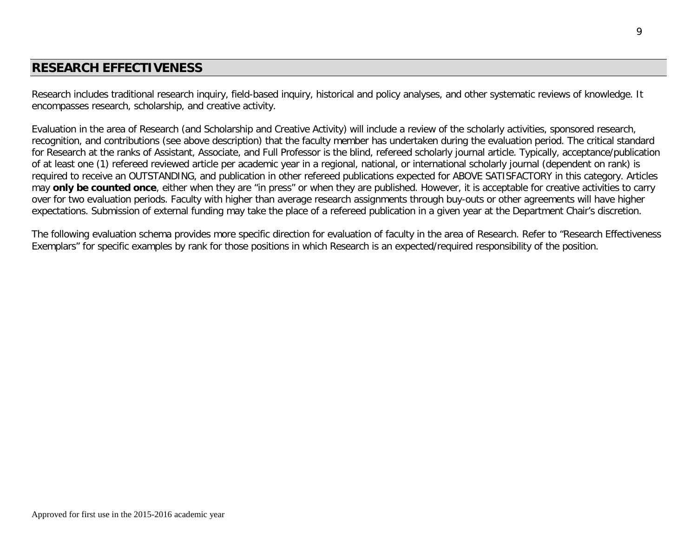## **RESEARCH EFFECTIVENESS**

Research includes traditional research inquiry, field-based inquiry, historical and policy analyses, and other systematic reviews of knowledge. It encompasses research, scholarship, and creative activity.

Evaluation in the area of Research (and Scholarship and Creative Activity) will include a review of the scholarly activities, sponsored research, recognition, and contributions (see above description) that the faculty member has undertaken during the evaluation period. The critical standard for Research at the ranks of Assistant, Associate, and Full Professor is the blind, refereed scholarly journal article. Typically, acceptance/publication of at least one (1) refereed reviewed article per academic year in a regional, national, or international scholarly journal (dependent on rank) is required to receive an OUTSTANDING, and publication in other refereed publications expected for ABOVE SATISFACTORY in this category. Articles may **only be counted once**, either when they are "in press" or when they are published. However, it is acceptable for creative activities to carry over for two evaluation periods. Faculty with higher than average research assignments through buy-outs or other agreements will have higher expectations. Submission of external funding may take the place of a refereed publication in a given year at the Department Chair's discretion.

The following evaluation schema provides more specific direction for evaluation of faculty in the area of Research. Refer to "Research Effectiveness Exemplars" for specific examples by rank for those positions in which Research is an expected/required responsibility of the position.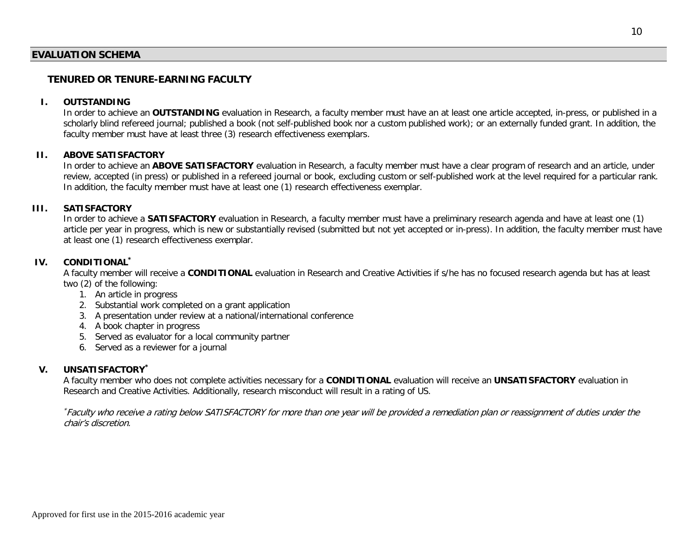#### **EVALUATION SCHEMA**

### **TENURED OR TENURE-EARNING FACULTY**

### **I. OUTSTANDING**

In order to achieve an **OUTSTANDING** evaluation in Research, a faculty member must have an at least one article accepted, in-press, or published in a scholarly blind refereed journal; published a book (not self-published book nor a custom published work); or an externally funded grant. In addition, the faculty member must have at least three (3) research effectiveness exemplars.

#### **II. ABOVE SATISFACTORY**

In order to achieve an **ABOVE SATISFACTORY** evaluation in Research, a faculty member must have a clear program of research and an article, under review, accepted (in press) or published in a refereed journal or book, excluding custom or self-published work at the level required for a particular rank. In addition, the faculty member must have at least one (1) research effectiveness exemplar.

#### **III. SATISFACTORY**

In order to achieve a **SATISFACTORY** evaluation in Research, a faculty member must have a preliminary research agenda and have at least one (1) article per year in progress, which is new or substantially revised (submitted but not yet accepted or in-press). In addition, the faculty member must have at least one (1) research effectiveness exemplar.

#### **IV. CONDITIONAL\***

A faculty member will receive a **CONDITIONAL** evaluation in Research and Creative Activities if s/he has no focused research agenda but has at least two (2) of the following:

- 1. An article in progress
- 2. Substantial work completed on a grant application
- 3. A presentation under review at a national/international conference
- 4. A book chapter in progress
- 5. Served as evaluator for a local community partner
- 6. Served as a reviewer for a journal

#### **V. UNSATISFACTORY\***

A faculty member who does not complete activities necessary for a **CONDITIONAL** evaluation will receive an **UNSATISFACTORY** evaluation in Research and Creative Activities. Additionally, research misconduct will result in a rating of US.

\* Faculty who receive a rating below SATISFACTORY for more than one year will be provided a remediation plan or reassignment of duties under the chair's discretion.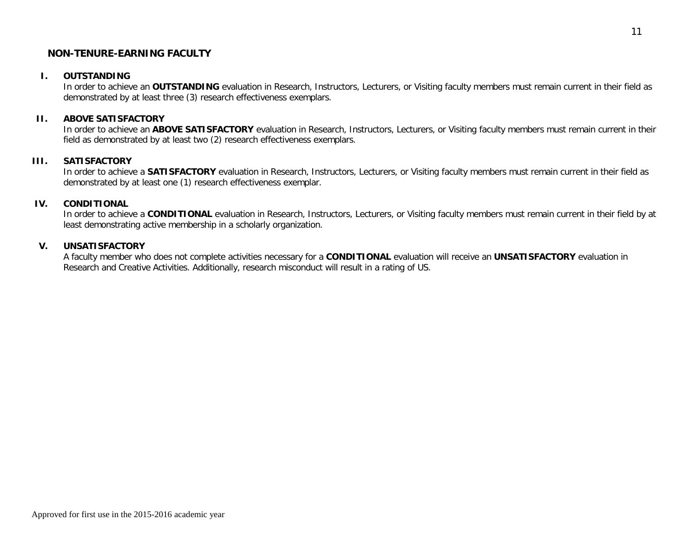#### **NON-TENURE-EARNING FACULTY**

#### **I. OUTSTANDING**

In order to achieve an **OUTSTANDING** evaluation in Research, Instructors, Lecturers, or Visiting faculty members must remain current in their field as demonstrated by at least three (3) research effectiveness exemplars.

#### **II. ABOVE SATISFACTORY**

In order to achieve an **ABOVE SATISFACTORY** evaluation in Research, Instructors, Lecturers, or Visiting faculty members must remain current in their field as demonstrated by at least two (2) research effectiveness exemplars.

#### **III. SATISFACTORY**

In order to achieve a **SATISFACTORY** evaluation in Research, Instructors, Lecturers, or Visiting faculty members must remain current in their field as demonstrated by at least one (1) research effectiveness exemplar.

#### **IV. CONDITIONAL**

In order to achieve a **CONDITIONAL** evaluation in Research, Instructors, Lecturers, or Visiting faculty members must remain current in their field by at least demonstrating active membership in a scholarly organization.

#### **V. UNSATISFACTORY**

A faculty member who does not complete activities necessary for a **CONDITIONAL** evaluation will receive an **UNSATISFACTORY** evaluation in Research and Creative Activities. Additionally, research misconduct will result in a rating of US.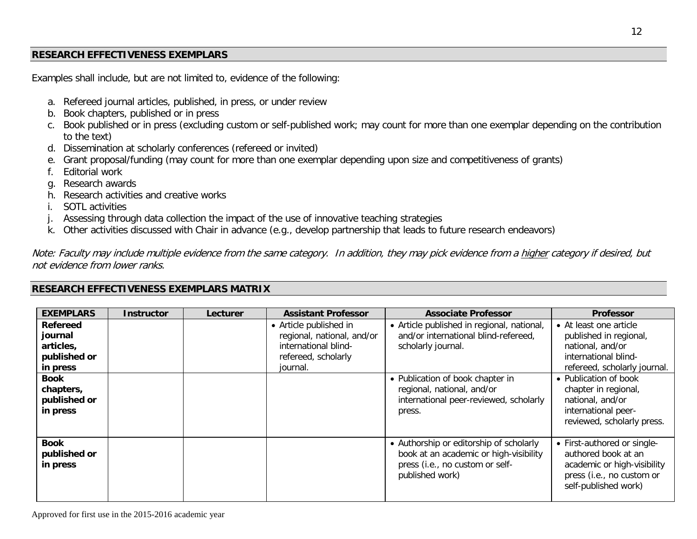## **RESEARCH EFFECTIVENESS EXEMPLARS**

Examples shall include, but are not limited to, evidence of the following:

- a. Refereed journal articles, published, in press, or under review
- b. Book chapters, published or in press
- c. Book published or in press (excluding custom or self-published work; may count for more than one exemplar depending on the contribution to the text)
- d. Dissemination at scholarly conferences (refereed or invited)
- e. Grant proposal/funding (may count for more than one exemplar depending upon size and competitiveness of grants)
- f. Editorial work
- g. Research awards
- h. Research activities and creative works
- i. SOTL activities
- j. Assessing through data collection the impact of the use of innovative teaching strategies
- k. Other activities discussed with Chair in advance (e.g., develop partnership that leads to future research endeavors)

Note: Faculty may include multiple evidence from the same category. In addition, they may pick evidence from a higher category if desired, but not evidence from lower ranks.

### **RESEARCH EFFECTIVENESS EXEMPLARS MATRIX**

| <b>EXEMPLARS</b>                                                                                                            | <b>Instructor</b> | Lecturer | <b>Assistant Professor</b>                                                                                      | <b>Associate Professor</b>                                                                                                                                                                                                     | <b>Professor</b>                                                                                                                                                                                                                                       |
|-----------------------------------------------------------------------------------------------------------------------------|-------------------|----------|-----------------------------------------------------------------------------------------------------------------|--------------------------------------------------------------------------------------------------------------------------------------------------------------------------------------------------------------------------------|--------------------------------------------------------------------------------------------------------------------------------------------------------------------------------------------------------------------------------------------------------|
| <b>Refereed</b><br>journal<br>articles,<br>published or<br>in press<br><b>Book</b><br>chapters,<br>published or<br>in press |                   |          | • Article published in<br>regional, national, and/or<br>international blind-<br>refereed, scholarly<br>journal. | • Article published in regional, national,<br>and/or international blind-refereed,<br>scholarly journal.<br>• Publication of book chapter in<br>regional, national, and/or<br>international peer-reviewed, scholarly<br>press. | • At least one article<br>published in regional,<br>national, and/or<br>international blind-<br>refereed, scholarly journal.<br>• Publication of book<br>chapter in regional,<br>national, and/or<br>international peer-<br>reviewed, scholarly press. |
| <b>Book</b><br>published or<br>in press                                                                                     |                   |          |                                                                                                                 | • Authorship or editorship of scholarly<br>book at an academic or high-visibility<br>press (i.e., no custom or self-<br>published work)                                                                                        | • First-authored or single-<br>authored book at an<br>academic or high-visibility<br>press (i.e., no custom or<br>self-published work)                                                                                                                 |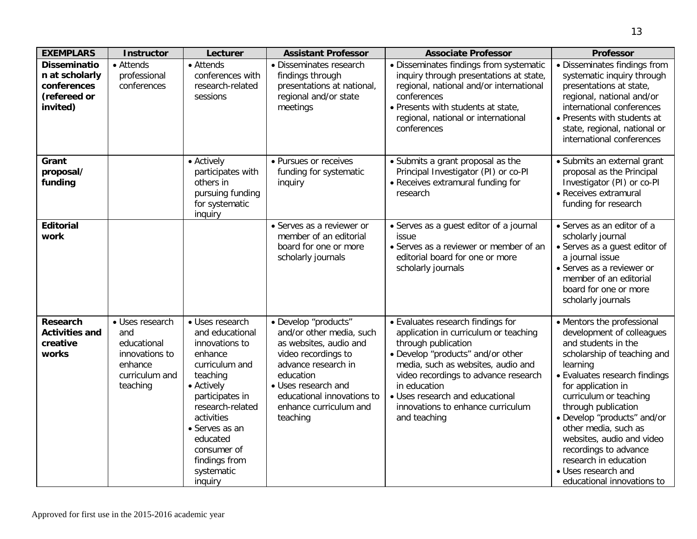| <b>EXEMPLARS</b>                                                                 | <b>Instructor</b>                                                                                | Lecturer                                                                                                                                                                                                                                                | <b>Assistant Professor</b>                                                                                                                                                                                                       | <b>Associate Professor</b>                                                                                                                                                                                                                                                                                                   | <b>Professor</b>                                                                                                                                                                                                                                                                                                                                                                                                             |
|----------------------------------------------------------------------------------|--------------------------------------------------------------------------------------------------|---------------------------------------------------------------------------------------------------------------------------------------------------------------------------------------------------------------------------------------------------------|----------------------------------------------------------------------------------------------------------------------------------------------------------------------------------------------------------------------------------|------------------------------------------------------------------------------------------------------------------------------------------------------------------------------------------------------------------------------------------------------------------------------------------------------------------------------|------------------------------------------------------------------------------------------------------------------------------------------------------------------------------------------------------------------------------------------------------------------------------------------------------------------------------------------------------------------------------------------------------------------------------|
| <b>Disseminatio</b><br>n at scholarly<br>conferences<br>(refereed or<br>invited) | • Attends<br>professional<br>conferences                                                         | • Attends<br>conferences with<br>research-related<br>sessions                                                                                                                                                                                           | · Disseminates research<br>findings through<br>presentations at national,<br>regional and/or state<br>meetings                                                                                                                   | • Disseminates findings from systematic<br>inquiry through presentations at state,<br>regional, national and/or international<br>conferences<br>. Presents with students at state,<br>regional, national or international<br>conferences                                                                                     | • Disseminates findings from<br>systematic inquiry through<br>presentations at state,<br>regional, national and/or<br>international conferences<br>• Presents with students at<br>state, regional, national or<br>international conferences                                                                                                                                                                                  |
| Grant<br>proposal/<br>funding                                                    |                                                                                                  | • Actively<br>participates with<br>others in<br>pursuing funding<br>for systematic<br>inquiry                                                                                                                                                           | • Pursues or receives<br>funding for systematic<br>inquiry                                                                                                                                                                       | • Submits a grant proposal as the<br>Principal Investigator (PI) or co-PI<br>• Receives extramural funding for<br>research                                                                                                                                                                                                   | · Submits an external grant<br>proposal as the Principal<br>Investigator (PI) or co-PI<br>• Receives extramural<br>funding for research                                                                                                                                                                                                                                                                                      |
| <b>Editorial</b><br>work                                                         |                                                                                                  |                                                                                                                                                                                                                                                         | • Serves as a reviewer or<br>member of an editorial<br>board for one or more<br>scholarly journals                                                                                                                               | • Serves as a guest editor of a journal<br>issue<br>• Serves as a reviewer or member of an<br>editorial board for one or more<br>scholarly journals                                                                                                                                                                          | • Serves as an editor of a<br>scholarly journal<br>• Serves as a guest editor of<br>a journal issue<br>• Serves as a reviewer or<br>member of an editorial<br>board for one or more<br>scholarly journals                                                                                                                                                                                                                    |
| <b>Research</b><br><b>Activities and</b><br>creative<br>works                    | · Uses research<br>and<br>educational<br>innovations to<br>enhance<br>curriculum and<br>teaching | • Uses research<br>and educational<br>innovations to<br>enhance<br>curriculum and<br>teaching<br>• Actively<br>participates in<br>research-related<br>activities<br>• Serves as an<br>educated<br>consumer of<br>findings from<br>systematic<br>inquiry | · Develop "products"<br>and/or other media, such<br>as websites, audio and<br>video recordings to<br>advance research in<br>education<br>• Uses research and<br>educational innovations to<br>enhance curriculum and<br>teaching | • Evaluates research findings for<br>application in curriculum or teaching<br>through publication<br>· Develop "products" and/or other<br>media, such as websites, audio and<br>video recordings to advance research<br>in education<br>• Uses research and educational<br>innovations to enhance curriculum<br>and teaching | • Mentors the professional<br>development of colleagues<br>and students in the<br>scholarship of teaching and<br>learning<br>• Evaluates research findings<br>for application in<br>curriculum or teaching<br>through publication<br>· Develop "products" and/or<br>other media, such as<br>websites, audio and video<br>recordings to advance<br>research in education<br>• Uses research and<br>educational innovations to |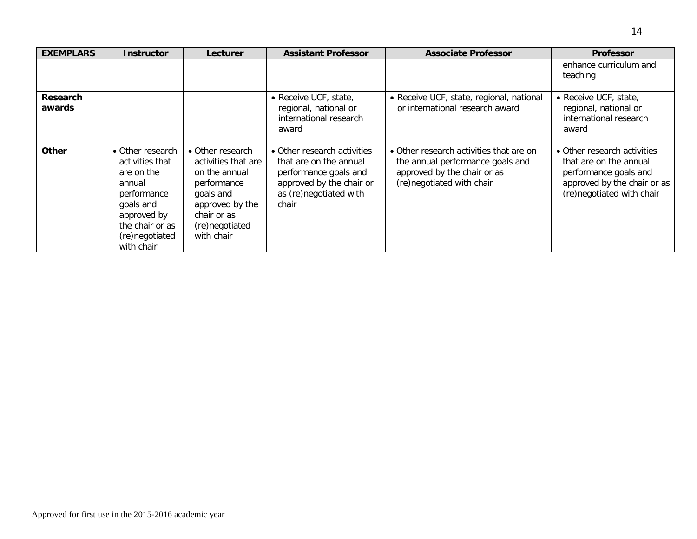| <b>EXEMPLARS</b>          | <b>Instructor</b>                                                                                                                                         | Lecturer                                                                                                                                               | <b>Assistant Professor</b>                                                                                                                    | <b>Associate Professor</b>                                                                                                              | <b>Professor</b>                                                                                                                           |
|---------------------------|-----------------------------------------------------------------------------------------------------------------------------------------------------------|--------------------------------------------------------------------------------------------------------------------------------------------------------|-----------------------------------------------------------------------------------------------------------------------------------------------|-----------------------------------------------------------------------------------------------------------------------------------------|--------------------------------------------------------------------------------------------------------------------------------------------|
|                           |                                                                                                                                                           |                                                                                                                                                        |                                                                                                                                               |                                                                                                                                         | enhance curriculum and<br>teaching                                                                                                         |
| <b>Research</b><br>awards |                                                                                                                                                           |                                                                                                                                                        | • Receive UCF, state,<br>regional, national or<br>international research<br>award                                                             | • Receive UCF, state, regional, national<br>or international research award                                                             | • Receive UCF, state,<br>regional, national or<br>international research<br>award                                                          |
| <b>Other</b>              | • Other research<br>activities that<br>are on the<br>annual<br>performance<br>goals and<br>approved by<br>the chair or as<br>(re)negotiated<br>with chair | • Other research<br>activities that are<br>on the annual<br>performance<br>goals and<br>approved by the<br>chair or as<br>(re)negotiated<br>with chair | • Other research activities<br>that are on the annual<br>performance goals and<br>approved by the chair or<br>as (re)negotiated with<br>chair | • Other research activities that are on<br>the annual performance goals and<br>approved by the chair or as<br>(re)negotiated with chair | • Other research activities<br>that are on the annual<br>performance goals and<br>approved by the chair or as<br>(re)negotiated with chair |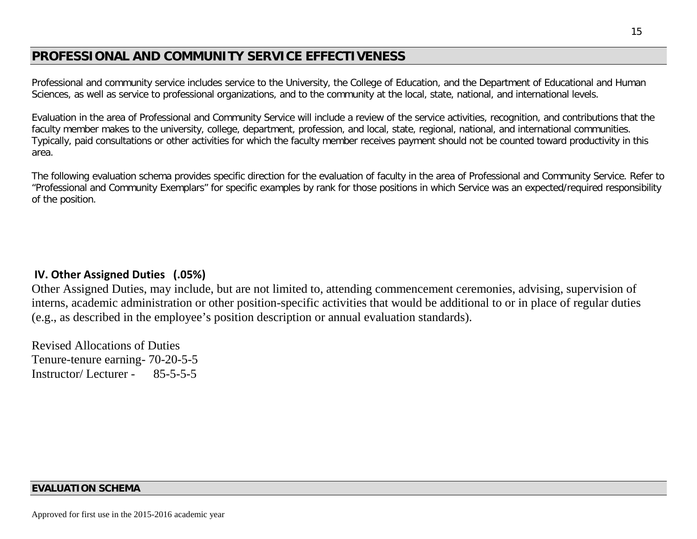# **PROFESSIONAL AND COMMUNITY SERVICE EFFECTIVENESS**

Professional and community service includes service to the University, the College of Education, and the Department of Educational and Human Sciences, as well as service to professional organizations, and to the community at the local, state, national, and international levels.

Evaluation in the area of Professional and Community Service will include a review of the service activities, recognition, and contributions that the faculty member makes to the university, college, department, profession, and local, state, regional, national, and international communities. Typically, paid consultations or other activities for which the faculty member receives payment should not be counted toward productivity in this area.

The following evaluation schema provides specific direction for the evaluation of faculty in the area of Professional and Community Service. Refer to "Professional and Community Exemplars" for specific examples by rank for those positions in which Service was an expected/required responsibility of the position.

## **IV. Other Assigned Duties (.05%)**

Other Assigned Duties, may include, but are not limited to, attending commencement ceremonies, advising, supervision of interns, academic administration or other position-specific activities that would be additional to or in place of regular duties (e.g., as described in the employee's position description or annual evaluation standards).

Revised Allocations of Duties Tenure-tenure earning- 70-20-5-5 Instructor/ Lecturer - 85-5-5-5

## **EVALUATION SCHEMA**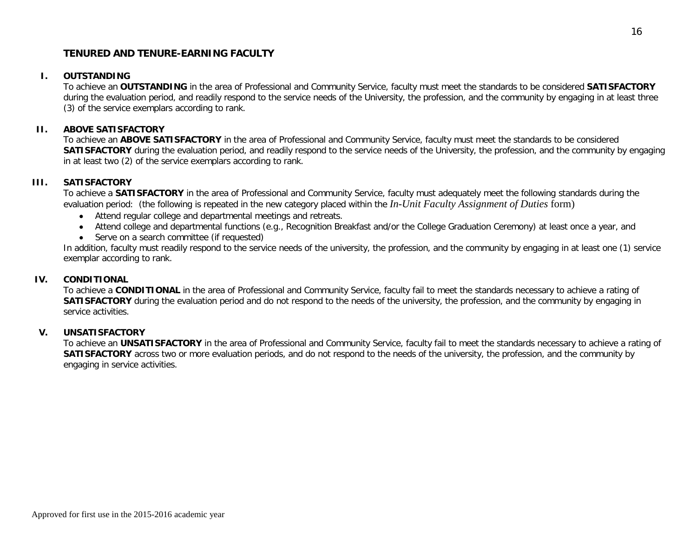### **TENURED AND TENURE-EARNING FACULTY**

#### **I. OUTSTANDING**

To achieve an **OUTSTANDING** in the area of Professional and Community Service, faculty must meet the standards to be considered **SATISFACTORY** during the evaluation period, and readily respond to the service needs of the University, the profession, and the community by engaging in at least three (3) of the service exemplars according to rank.

#### **II. ABOVE SATISFACTORY**

To achieve an **ABOVE SATISFACTORY** in the area of Professional and Community Service, faculty must meet the standards to be considered **SATISFACTORY** during the evaluation period, and readily respond to the service needs of the University, the profession, and the community by engaging in at least two (2) of the service exemplars according to rank.

#### **III. SATISFACTORY**

To achieve a **SATISFACTORY** in the area of Professional and Community Service, faculty must adequately meet the following standards during the evaluation period: (the following is repeated in the new category placed within the *In-Unit Faculty Assignment of Duties* form)

- Attend regular college and departmental meetings and retreats.
- Attend college and departmental functions (e.g., Recognition Breakfast and/or the College Graduation Ceremony) at least once a year, and
- Serve on a search committee (if requested)

In addition, faculty must readily respond to the service needs of the university, the profession, and the community by engaging in at least one (1) service exemplar according to rank.

#### **IV. CONDITIONAL**

To achieve a **CONDITIONAL** in the area of Professional and Community Service, faculty fail to meet the standards necessary to achieve a rating of **SATISFACTORY** during the evaluation period and do not respond to the needs of the university, the profession, and the community by engaging in service activities.

#### **V. UNSATISFACTORY**

To achieve an **UNSATISFACTORY** in the area of Professional and Community Service, faculty fail to meet the standards necessary to achieve a rating of **SATISFACTORY** across two or more evaluation periods, and do not respond to the needs of the university, the profession, and the community by engaging in service activities.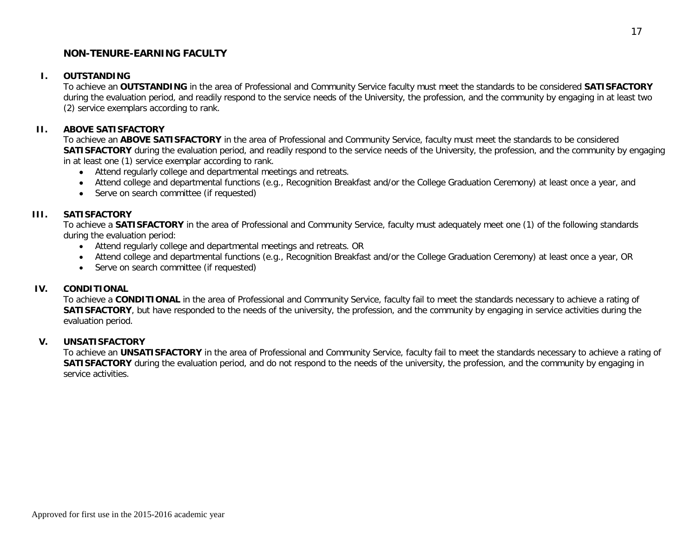### **NON-TENURE-EARNING FACULTY**

#### **I. OUTSTANDING**

To achieve an **OUTSTANDING** in the area of Professional and Community Service faculty must meet the standards to be considered **SATISFACTORY** during the evaluation period, and readily respond to the service needs of the University, the profession, and the community by engaging in at least two (2) service exemplars according to rank.

#### **II. ABOVE SATISFACTORY**

To achieve an **ABOVE SATISFACTORY** in the area of Professional and Community Service, faculty must meet the standards to be considered **SATISFACTORY** during the evaluation period, and readily respond to the service needs of the University, the profession, and the community by engaging in at least one (1) service exemplar according to rank.

- Attend regularly college and departmental meetings and retreats.
- Attend college and departmental functions (e.g., Recognition Breakfast and/or the College Graduation Ceremony) at least once a year, and
- Serve on search committee (if requested)

#### **III. SATISFACTORY**

To achieve a **SATISFACTORY** in the area of Professional and Community Service, faculty must adequately meet one (1) of the following standards during the evaluation period:

- Attend regularly college and departmental meetings and retreats. OR
- Attend college and departmental functions (e.g., Recognition Breakfast and/or the College Graduation Ceremony) at least once a year, OR
- Serve on search committee (if requested)

#### **IV. CONDITIONAL**

To achieve a **CONDITIONAL** in the area of Professional and Community Service, faculty fail to meet the standards necessary to achieve a rating of **SATISFACTORY**, but have responded to the needs of the university, the profession, and the community by engaging in service activities during the evaluation period.

#### **V. UNSATISFACTORY**

To achieve an **UNSATISFACTORY** in the area of Professional and Community Service, faculty fail to meet the standards necessary to achieve a rating of **SATISFACTORY** during the evaluation period, and do not respond to the needs of the university, the profession, and the community by engaging in service activities.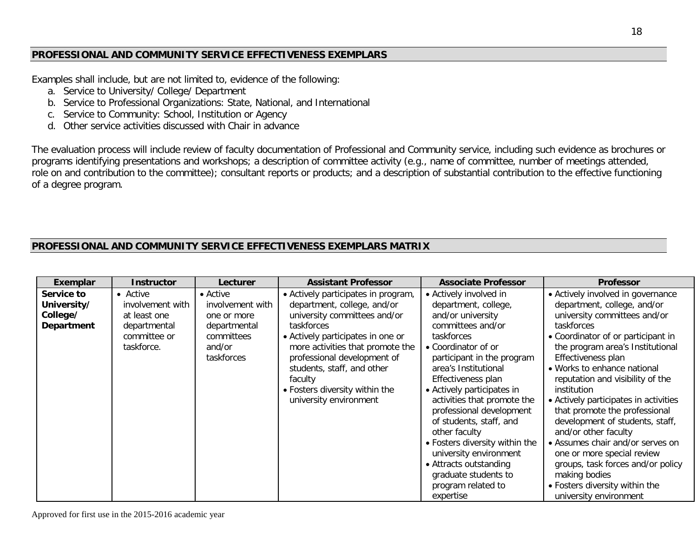## **PROFESSIONAL AND COMMUNITY SERVICE EFFECTIVENESS EXEMPLARS**

Examples shall include, but are not limited to, evidence of the following:

- a. Service to University/ College/ Department
- b. Service to Professional Organizations: State, National, and International
- c. Service to Community: School, Institution or Agency
- d. Other service activities discussed with Chair in advance

The evaluation process will include review of faculty documentation of Professional and Community service, including such evidence as brochures or programs identifying presentations and workshops; a description of committee activity (e.g., name of committee, number of meetings attended, role on and contribution to the committee); consultant reports or products; and a description of substantial contribution to the effective functioning of a degree program.

## **PROFESSIONAL AND COMMUNITY SERVICE EFFECTIVENESS EXEMPLARS MATRIX**

| Exemplar                                            | <b>Instructor</b>                                                                          | Lecturer                                                                                                  | <b>Assistant Professor</b>                                                                                                                                                                                                                                                                                                    | <b>Associate Professor</b>                                                                                                                                                                                                                                                                                                                                                                                                                                                                      | <b>Professor</b>                                                                                                                                                                                                                                                                                                                                                                                                                                                                                                                                                                                                          |
|-----------------------------------------------------|--------------------------------------------------------------------------------------------|-----------------------------------------------------------------------------------------------------------|-------------------------------------------------------------------------------------------------------------------------------------------------------------------------------------------------------------------------------------------------------------------------------------------------------------------------------|-------------------------------------------------------------------------------------------------------------------------------------------------------------------------------------------------------------------------------------------------------------------------------------------------------------------------------------------------------------------------------------------------------------------------------------------------------------------------------------------------|---------------------------------------------------------------------------------------------------------------------------------------------------------------------------------------------------------------------------------------------------------------------------------------------------------------------------------------------------------------------------------------------------------------------------------------------------------------------------------------------------------------------------------------------------------------------------------------------------------------------------|
| Service to<br>University/<br>College/<br>Department | • Active<br>involvement with<br>at least one<br>departmental<br>committee or<br>taskforce. | $\bullet$ Active<br>involvement with<br>one or more<br>departmental<br>committees<br>and/or<br>taskforces | • Actively participates in program,<br>department, college, and/or<br>university committees and/or<br>taskforces<br>• Actively participates in one or<br>more activities that promote the<br>professional development of<br>students, staff, and other<br>faculty<br>• Fosters diversity within the<br>university environment | • Actively involved in<br>department, college,<br>and/or university<br>committees and/or<br>taskforces<br>• Coordinator of or<br>participant in the program<br>area's Institutional<br>Effectiveness plan<br>• Actively participates in<br>activities that promote the<br>professional development<br>of students, staff, and<br>other faculty<br>• Fosters diversity within the<br>university environment<br>• Attracts outstanding<br>graduate students to<br>program related to<br>expertise | • Actively involved in governance<br>department, college, and/or<br>university committees and/or<br>taskforces<br>• Coordinator of or participant in<br>the program area's Institutional<br>Effectiveness plan<br>• Works to enhance national<br>reputation and visibility of the<br>institution<br>• Actively participates in activities<br>that promote the professional<br>development of students, staff,<br>and/or other faculty<br>• Assumes chair and/or serves on<br>one or more special review<br>groups, task forces and/or policy<br>making bodies<br>• Fosters diversity within the<br>university environment |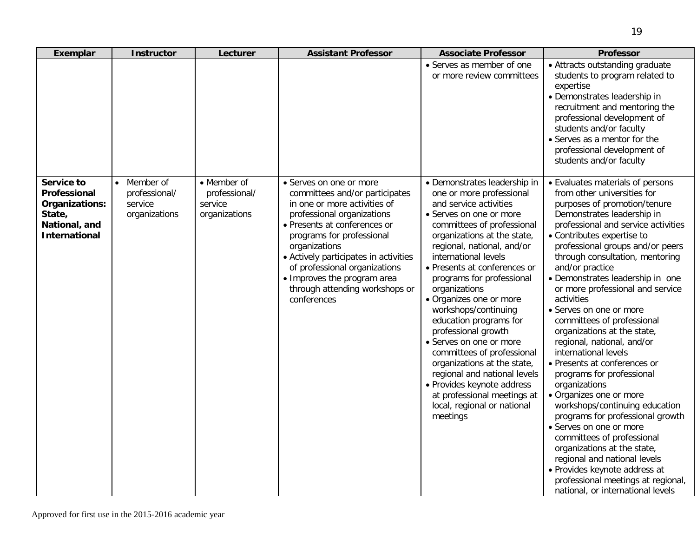| Exemplar                                                                                        | <b>Instructor</b>                                                   | Lecturer                                                 | <b>Assistant Professor</b>                                                                                                                                                                                                                                                                                                                                      | <b>Associate Professor</b>                                                                                                                                                                                                                                                                                                                                                                                                                                                                                                                                                                                                                         | <b>Professor</b>                                                                                                                                                                                                                                                                                                                                                                                                                                                                                                                                                                                                                                                                                                                                                                                                                                                                                                                                    |
|-------------------------------------------------------------------------------------------------|---------------------------------------------------------------------|----------------------------------------------------------|-----------------------------------------------------------------------------------------------------------------------------------------------------------------------------------------------------------------------------------------------------------------------------------------------------------------------------------------------------------------|----------------------------------------------------------------------------------------------------------------------------------------------------------------------------------------------------------------------------------------------------------------------------------------------------------------------------------------------------------------------------------------------------------------------------------------------------------------------------------------------------------------------------------------------------------------------------------------------------------------------------------------------------|-----------------------------------------------------------------------------------------------------------------------------------------------------------------------------------------------------------------------------------------------------------------------------------------------------------------------------------------------------------------------------------------------------------------------------------------------------------------------------------------------------------------------------------------------------------------------------------------------------------------------------------------------------------------------------------------------------------------------------------------------------------------------------------------------------------------------------------------------------------------------------------------------------------------------------------------------------|
|                                                                                                 |                                                                     |                                                          |                                                                                                                                                                                                                                                                                                                                                                 | • Serves as member of one<br>or more review committees                                                                                                                                                                                                                                                                                                                                                                                                                                                                                                                                                                                             | • Attracts outstanding graduate<br>students to program related to<br>expertise<br>• Demonstrates leadership in<br>recruitment and mentoring the<br>professional development of<br>students and/or faculty<br>• Serves as a mentor for the<br>professional development of<br>students and/or faculty                                                                                                                                                                                                                                                                                                                                                                                                                                                                                                                                                                                                                                                 |
| Service to<br>Professional<br>Organizations:<br>State,<br>National, and<br><b>International</b> | Member of<br>$\bullet$<br>professional/<br>service<br>organizations | • Member of<br>professional/<br>service<br>organizations | • Serves on one or more<br>committees and/or participates<br>in one or more activities of<br>professional organizations<br>• Presents at conferences or<br>programs for professional<br>organizations<br>• Actively participates in activities<br>of professional organizations<br>• Improves the program area<br>through attending workshops or<br>conferences | • Demonstrates leadership in<br>one or more professional<br>and service activities<br>• Serves on one or more<br>committees of professional<br>organizations at the state,<br>regional, national, and/or<br>international levels<br>• Presents at conferences or<br>programs for professional<br>organizations<br>• Organizes one or more<br>workshops/continuing<br>education programs for<br>professional growth<br>• Serves on one or more<br>committees of professional<br>organizations at the state,<br>regional and national levels<br>• Provides keynote address<br>at professional meetings at<br>local, regional or national<br>meetings | • Evaluates materials of persons<br>from other universities for<br>purposes of promotion/tenure<br>Demonstrates leadership in<br>professional and service activities<br>• Contributes expertise to<br>professional groups and/or peers<br>through consultation, mentoring<br>and/or practice<br>• Demonstrates leadership in one<br>or more professional and service<br>activities<br>• Serves on one or more<br>committees of professional<br>organizations at the state,<br>regional, national, and/or<br>international levels<br>• Presents at conferences or<br>programs for professional<br>organizations<br>• Organizes one or more<br>workshops/continuing education<br>programs for professional growth<br>• Serves on one or more<br>committees of professional<br>organizations at the state,<br>regional and national levels<br>· Provides keynote address at<br>professional meetings at regional,<br>national, or international levels |